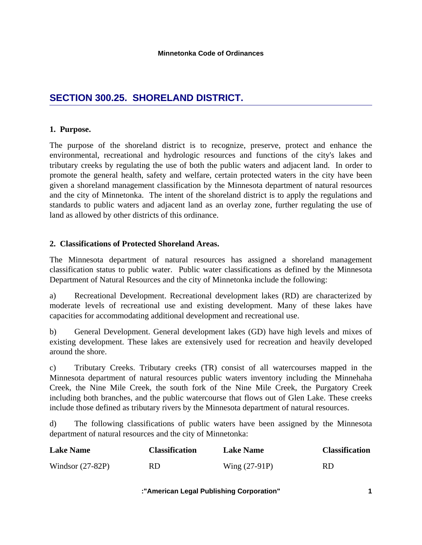# **SECTION 300.25. SHORELAND DISTRICT.**

## **1. Purpose.**

The purpose of the shoreland district is to recognize, preserve, protect and enhance the environmental, recreational and hydrologic resources and functions of the city's lakes and tributary creeks by regulating the use of both the public waters and adjacent land. In order to promote the general health, safety and welfare, certain protected waters in the city have been given a shoreland management classification by the Minnesota department of natural resources and the city of Minnetonka. The intent of the shoreland district is to apply the regulations and standards to public waters and adjacent land as an overlay zone, further regulating the use of land as allowed by other districts of this ordinance.

## **2. Classifications of Protected Shoreland Areas.**

The Minnesota department of natural resources has assigned a shoreland management classification status to public water. Public water classifications as defined by the Minnesota Department of Natural Resources and the city of Minnetonka include the following:

a) Recreational Development. Recreational development lakes (RD) are characterized by moderate levels of recreational use and existing development. Many of these lakes have capacities for accommodating additional development and recreational use.

b) General Development. General development lakes (GD) have high levels and mixes of existing development. These lakes are extensively used for recreation and heavily developed around the shore.

c) Tributary Creeks. Tributary creeks (TR) consist of all watercourses mapped in the Minnesota department of natural resources public waters inventory including the Minnehaha Creek, the Nine Mile Creek, the south fork of the Nine Mile Creek, the Purgatory Creek including both branches, and the public watercourse that flows out of Glen Lake. These creeks include those defined as tributary rivers by the Minnesota department of natural resources.

d) The following classifications of public waters have been assigned by the Minnesota department of natural resources and the city of Minnetonka:

| <b>Lake Name</b>   | <b>Classification</b> | <b>Lake Name</b> | <b>Classification</b> |
|--------------------|-----------------------|------------------|-----------------------|
| Windsor $(27-82P)$ | RD                    | Wing $(27-91P)$  | RD                    |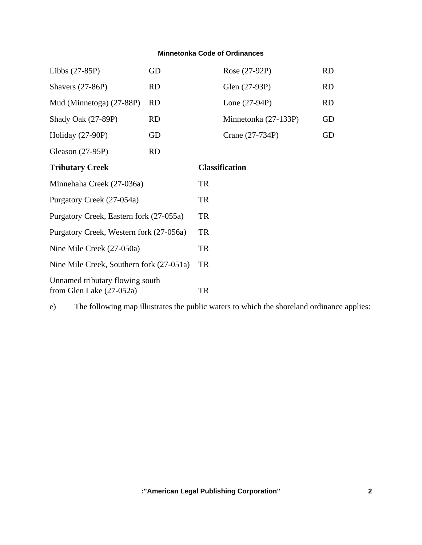| Libbs $(27-85P)$                                            | GD        |                       | Rose (27-92P)        | <b>RD</b> |
|-------------------------------------------------------------|-----------|-----------------------|----------------------|-----------|
| Shavers $(27-86P)$                                          | <b>RD</b> |                       | Glen (27-93P)        | <b>RD</b> |
| Mud (Minnetoga) (27-88P)                                    | <b>RD</b> |                       | Lone $(27-94P)$      | RD        |
| Shady Oak (27-89P)                                          | <b>RD</b> |                       | Minnetonka (27-133P) | GD        |
| Holiday $(27-90P)$                                          | GD        |                       | Crane (27-734P)      | GD        |
| Gleason (27-95P)                                            | <b>RD</b> |                       |                      |           |
| <b>Tributary Creek</b>                                      |           | <b>Classification</b> |                      |           |
| Minnehaha Creek (27-036a)                                   |           | TR                    |                      |           |
| Purgatory Creek (27-054a)                                   |           | TR                    |                      |           |
| Purgatory Creek, Eastern fork (27-055a)                     |           | <b>TR</b>             |                      |           |
| Purgatory Creek, Western fork (27-056a)                     |           | <b>TR</b>             |                      |           |
| Nine Mile Creek (27-050a)                                   |           | <b>TR</b>             |                      |           |
| Nine Mile Creek, Southern fork (27-051a)                    |           | <b>TR</b>             |                      |           |
| Unnamed tributary flowing south<br>from Glen Lake (27-052a) |           | TR                    |                      |           |

e) The following map illustrates the public waters to which the shoreland ordinance applies: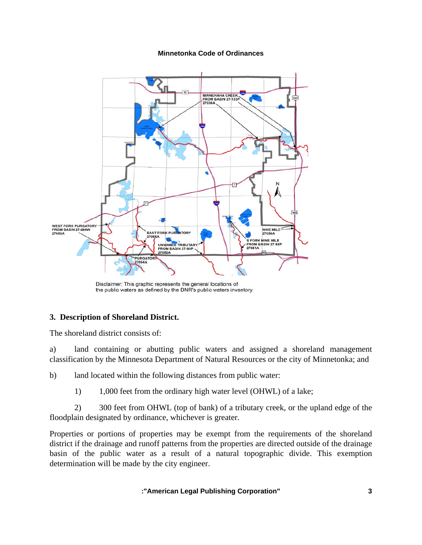

Disclaimer: This graphic represents the general locations of the public waters as defined by the DNR's public waters inventory.

## **3. Description of Shoreland District.**

The shoreland district consists of:

a) land containing or abutting public waters and assigned a shoreland management classification by the Minnesota Department of Natural Resources or the city of Minnetonka; and

b) land located within the following distances from public water:

1) 1,000 feet from the ordinary high water level (OHWL) of a lake;

 2) 300 feet from OHWL (top of bank) of a tributary creek, or the upland edge of the floodplain designated by ordinance, whichever is greater.

Properties or portions of properties may be exempt from the requirements of the shoreland district if the drainage and runoff patterns from the properties are directed outside of the drainage basin of the public water as a result of a natural topographic divide. This exemption determination will be made by the city engineer.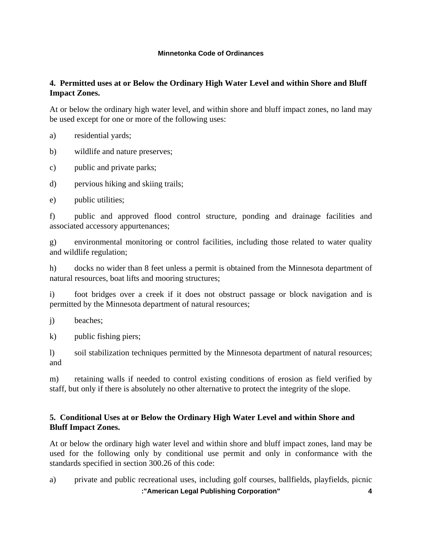## **4. Permitted uses at or Below the Ordinary High Water Level and within Shore and Bluff Impact Zones.**

At or below the ordinary high water level, and within shore and bluff impact zones, no land may be used except for one or more of the following uses:

a) residential yards;

b) wildlife and nature preserves;

c) public and private parks;

d) pervious hiking and skiing trails;

e) public utilities;

f) public and approved flood control structure, ponding and drainage facilities and associated accessory appurtenances;

g) environmental monitoring or control facilities, including those related to water quality and wildlife regulation;

h) docks no wider than 8 feet unless a permit is obtained from the Minnesota department of natural resources, boat lifts and mooring structures;

i) foot bridges over a creek if it does not obstruct passage or block navigation and is permitted by the Minnesota department of natural resources;

j) beaches;

k) public fishing piers;

l) soil stabilization techniques permitted by the Minnesota department of natural resources; and

m) retaining walls if needed to control existing conditions of erosion as field verified by staff, but only if there is absolutely no other alternative to protect the integrity of the slope.

## **5. Conditional Uses at or Below the Ordinary High Water Level and within Shore and Bluff Impact Zones.**

At or below the ordinary high water level and within shore and bluff impact zones, land may be used for the following only by conditional use permit and only in conformance with the standards specified in section 300.26 of this code:

 **:"American Legal Publishing Corporation" 4** a) private and public recreational uses, including golf courses, ballfields, playfields, picnic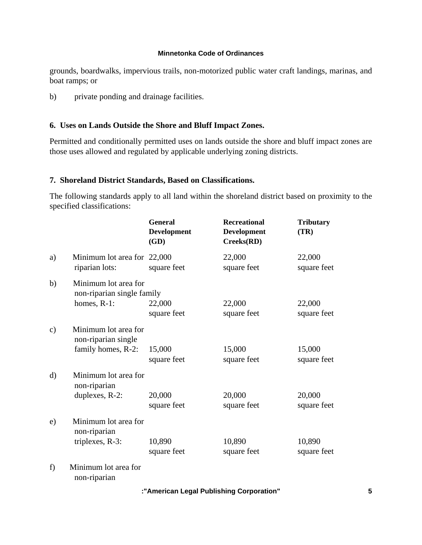grounds, boardwalks, impervious trails, non-motorized public water craft landings, marinas, and boat ramps; or

b) private ponding and drainage facilities.

## **6. Uses on Lands Outside the Shore and Bluff Impact Zones.**

Permitted and conditionally permitted uses on lands outside the shore and bluff impact zones are those uses allowed and regulated by applicable underlying zoning districts.

## **7. Shoreland District Standards, Based on Classifications.**

The following standards apply to all land within the shoreland district based on proximity to the specified classifications:

|               |                                                                      | <b>General</b><br>Development<br>(GD) | <b>Recreational</b><br><b>Development</b><br>Creeks(RD) | <b>Tributary</b><br>(TR) |
|---------------|----------------------------------------------------------------------|---------------------------------------|---------------------------------------------------------|--------------------------|
| a)            | Minimum lot area for 22,000<br>riparian lots:                        | square feet                           | 22,000<br>square feet                                   | 22,000<br>square feet    |
| b)            | Minimum lot area for<br>non-riparian single family<br>homes, $R-1$ : | 22,000<br>square feet                 | 22,000<br>square feet                                   | 22,000<br>square feet    |
| $\mathbf{c})$ | Minimum lot area for<br>non-riparian single<br>family homes, R-2:    | 15,000                                | 15,000                                                  | 15,000                   |
| $\rm d)$      | Minimum lot area for<br>non-riparian<br>duplexes, R-2:               | square feet<br>20,000                 | square feet<br>20,000                                   | square feet<br>20,000    |
|               |                                                                      | square feet                           | square feet                                             | square feet              |
| e)            | Minimum lot area for<br>non-riparian<br>triplexes, R-3:              | 10,890<br>square feet                 | 10,890<br>square feet                                   | 10,890<br>square feet    |
| f)            | Minimum lot area for<br>non-riparian                                 |                                       |                                                         |                          |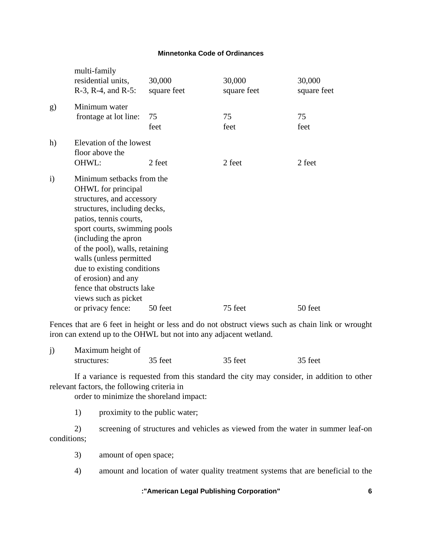|            | multi-family<br>residential units,<br>R-3, R-4, and R-5:                                                                                                                                                                                                                                                                                                                     | 30,000<br>square feet | 30,000<br>square feet | 30,000<br>square feet |  |
|------------|------------------------------------------------------------------------------------------------------------------------------------------------------------------------------------------------------------------------------------------------------------------------------------------------------------------------------------------------------------------------------|-----------------------|-----------------------|-----------------------|--|
| g)         | Minimum water<br>frontage at lot line:                                                                                                                                                                                                                                                                                                                                       | 75<br>feet            | 75<br>feet            | 75<br>feet            |  |
| h)         | Elevation of the lowest<br>floor above the<br>OHWL:                                                                                                                                                                                                                                                                                                                          | 2 feet                | 2 feet                | 2 feet                |  |
| $\ddot{i}$ | Minimum setbacks from the<br><b>OHWL</b> for principal<br>structures, and accessory<br>structures, including decks,<br>patios, tennis courts,<br>sport courts, swimming pools<br>(including the apron<br>of the pool), walls, retaining<br>walls (unless permitted<br>due to existing conditions<br>of erosion) and any<br>fence that obstructs lake<br>views such as picket |                       |                       |                       |  |
|            | or privacy fence:                                                                                                                                                                                                                                                                                                                                                            | 50 feet               | 75 feet               | 50 feet               |  |

Fences that are 6 feet in height or less and do not obstruct views such as chain link or wrought iron can extend up to the OHWL but not into any adjacent wetland.

| Maximum height of |         |         |         |
|-------------------|---------|---------|---------|
| structures:       | 35 feet | 35 feet | 35 feet |

 If a variance is requested from this standard the city may consider, in addition to other relevant factors, the following criteria in

order to minimize the shoreland impact:

1) proximity to the public water;

 2) screening of structures and vehicles as viewed from the water in summer leaf-on conditions;

- 3) amount of open space;
- 4) amount and location of water quality treatment systems that are beneficial to the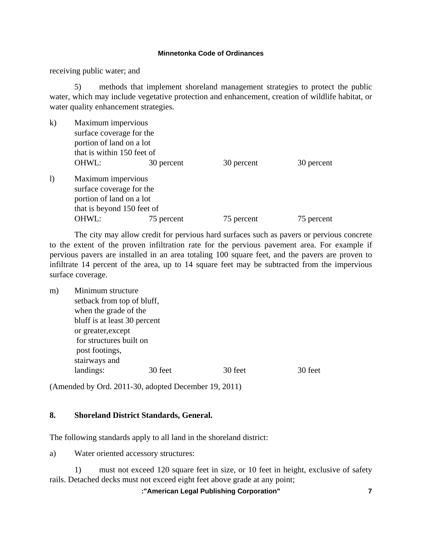receiving public water; and

 5) methods that implement shoreland management strategies to protect the public water, which may include vegetative protection and enhancement, creation of wildlife habitat, or water quality enhancement strategies.

| $\bf k$  |       | Maximum impervious<br>surface coverage for the<br>portion of land on a lot<br>that is within 150 feet of |            |            |  |
|----------|-------|----------------------------------------------------------------------------------------------------------|------------|------------|--|
|          | OHWL: | 30 percent                                                                                               | 30 percent | 30 percent |  |
| $\bf{I}$ |       | Maximum impervious<br>surface coverage for the<br>portion of land on a lot<br>that is beyond 150 feet of |            |            |  |
|          | OHWL: | 75 percent                                                                                               | 75 percent | 75 percent |  |

 The city may allow credit for pervious hard surfaces such as pavers or pervious concrete to the extent of the proven infiltration rate for the pervious pavement area. For example if pervious pavers are installed in an area totaling 100 square feet, and the pavers are proven to infiltrate 14 percent of the area, up to 14 square feet may be subtracted from the impervious surface coverage.

| m) | Minimum structure            |                       |         |         |  |  |
|----|------------------------------|-----------------------|---------|---------|--|--|
|    | setback from top of bluff,   |                       |         |         |  |  |
|    |                              | when the grade of the |         |         |  |  |
|    | bluff is at least 30 percent |                       |         |         |  |  |
|    | or greater, except           |                       |         |         |  |  |
|    | for structures built on      |                       |         |         |  |  |
|    | post footings,               |                       |         |         |  |  |
|    | stairways and                |                       |         |         |  |  |
|    | landings:                    | 30 feet               | 30 feet | 30 feet |  |  |
|    |                              |                       |         |         |  |  |

(Amended by Ord. 2011-30, adopted December 19, 2011)

## **8. Shoreland District Standards, General.**

The following standards apply to all land in the shoreland district:

a) Water oriented accessory structures:

 1) must not exceed 120 square feet in size, or 10 feet in height, exclusive of safety rails. Detached decks must not exceed eight feet above grade at any point;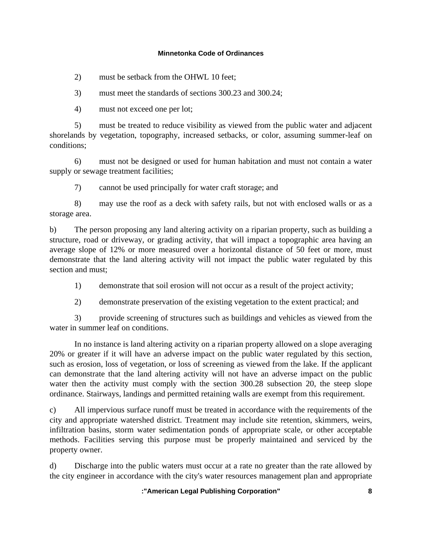2) must be setback from the OHWL 10 feet;

3) must meet the standards of sections 300.23 and 300.24;

4) must not exceed one per lot;

 5) must be treated to reduce visibility as viewed from the public water and adjacent shorelands by vegetation, topography, increased setbacks, or color, assuming summer-leaf on conditions;

 6) must not be designed or used for human habitation and must not contain a water supply or sewage treatment facilities;

7) cannot be used principally for water craft storage; and

 8) may use the roof as a deck with safety rails, but not with enclosed walls or as a storage area.

b) The person proposing any land altering activity on a riparian property, such as building a structure, road or driveway, or grading activity, that will impact a topographic area having an average slope of 12% or more measured over a horizontal distance of 50 feet or more, must demonstrate that the land altering activity will not impact the public water regulated by this section and must;

1) demonstrate that soil erosion will not occur as a result of the project activity;

2) demonstrate preservation of the existing vegetation to the extent practical; and

 3) provide screening of structures such as buildings and vehicles as viewed from the water in summer leaf on conditions.

 In no instance is land altering activity on a riparian property allowed on a slope averaging 20% or greater if it will have an adverse impact on the public water regulated by this section, such as erosion, loss of vegetation, or loss of screening as viewed from the lake. If the applicant can demonstrate that the land altering activity will not have an adverse impact on the public water then the activity must comply with the section 300.28 subsection 20, the steep slope ordinance. Stairways, landings and permitted retaining walls are exempt from this requirement.

c) All impervious surface runoff must be treated in accordance with the requirements of the city and appropriate watershed district. Treatment may include site retention, skimmers, weirs, infiltration basins, storm water sedimentation ponds of appropriate scale, or other acceptable methods. Facilities serving this purpose must be properly maintained and serviced by the property owner.

d) Discharge into the public waters must occur at a rate no greater than the rate allowed by the city engineer in accordance with the city's water resources management plan and appropriate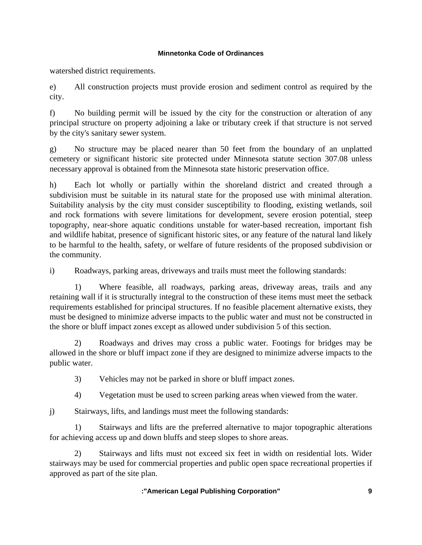watershed district requirements.

e) All construction projects must provide erosion and sediment control as required by the city.

f) No building permit will be issued by the city for the construction or alteration of any principal structure on property adjoining a lake or tributary creek if that structure is not served by the city's sanitary sewer system.

g) No structure may be placed nearer than 50 feet from the boundary of an unplatted cemetery or significant historic site protected under Minnesota statute section 307.08 unless necessary approval is obtained from the Minnesota state historic preservation office.

h) Each lot wholly or partially within the shoreland district and created through a subdivision must be suitable in its natural state for the proposed use with minimal alteration. Suitability analysis by the city must consider susceptibility to flooding, existing wetlands, soil and rock formations with severe limitations for development, severe erosion potential, steep topography, near-shore aquatic conditions unstable for water-based recreation, important fish and wildlife habitat, presence of significant historic sites, or any feature of the natural land likely to be harmful to the health, safety, or welfare of future residents of the proposed subdivision or the community.

i) Roadways, parking areas, driveways and trails must meet the following standards:

Where feasible, all roadways, parking areas, driveway areas, trails and any retaining wall if it is structurally integral to the construction of these items must meet the setback requirements established for principal structures. If no feasible placement alternative exists, they must be designed to minimize adverse impacts to the public water and must not be constructed in the shore or bluff impact zones except as allowed under subdivision 5 of this section.

 2) Roadways and drives may cross a public water. Footings for bridges may be allowed in the shore or bluff impact zone if they are designed to minimize adverse impacts to the public water.

3) Vehicles may not be parked in shore or bluff impact zones.

4) Vegetation must be used to screen parking areas when viewed from the water.

j) Stairways, lifts, and landings must meet the following standards:

 1) Stairways and lifts are the preferred alternative to major topographic alterations for achieving access up and down bluffs and steep slopes to shore areas.

 2) Stairways and lifts must not exceed six feet in width on residential lots. Wider stairways may be used for commercial properties and public open space recreational properties if approved as part of the site plan.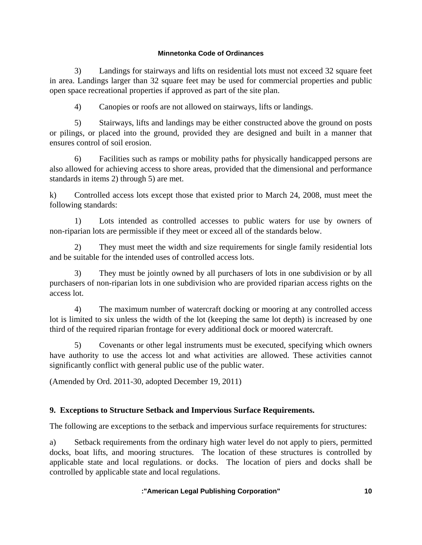3) Landings for stairways and lifts on residential lots must not exceed 32 square feet in area. Landings larger than 32 square feet may be used for commercial properties and public open space recreational properties if approved as part of the site plan.

4) Canopies or roofs are not allowed on stairways, lifts or landings.

 5) Stairways, lifts and landings may be either constructed above the ground on posts or pilings, or placed into the ground, provided they are designed and built in a manner that ensures control of soil erosion.

 6) Facilities such as ramps or mobility paths for physically handicapped persons are also allowed for achieving access to shore areas, provided that the dimensional and performance standards in items 2) through 5) are met.

k) Controlled access lots except those that existed prior to March 24, 2008, must meet the following standards:

 1) Lots intended as controlled accesses to public waters for use by owners of non-riparian lots are permissible if they meet or exceed all of the standards below.

 2) They must meet the width and size requirements for single family residential lots and be suitable for the intended uses of controlled access lots.

 3) They must be jointly owned by all purchasers of lots in one subdivision or by all purchasers of non-riparian lots in one subdivision who are provided riparian access rights on the access lot.

 4) The maximum number of watercraft docking or mooring at any controlled access lot is limited to six unless the width of the lot (keeping the same lot depth) is increased by one third of the required riparian frontage for every additional dock or moored watercraft.

 5) Covenants or other legal instruments must be executed, specifying which owners have authority to use the access lot and what activities are allowed. These activities cannot significantly conflict with general public use of the public water.

(Amended by Ord. 2011-30, adopted December 19, 2011)

## **9. Exceptions to Structure Setback and Impervious Surface Requirements.**

The following are exceptions to the setback and impervious surface requirements for structures:

a) Setback requirements from the ordinary high water level do not apply to piers, permitted docks, boat lifts, and mooring structures. The location of these structures is controlled by applicable state and local regulations. or docks. The location of piers and docks shall be controlled by applicable state and local regulations.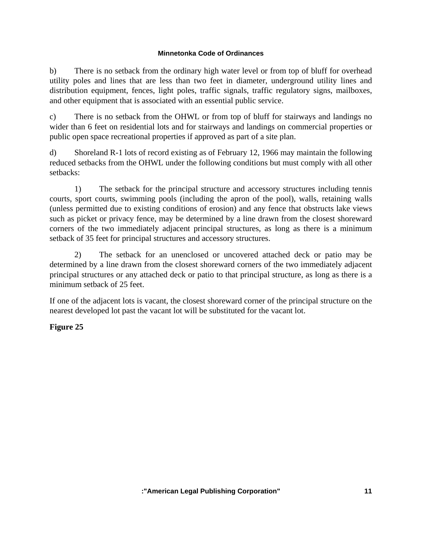b) There is no setback from the ordinary high water level or from top of bluff for overhead utility poles and lines that are less than two feet in diameter, underground utility lines and distribution equipment, fences, light poles, traffic signals, traffic regulatory signs, mailboxes, and other equipment that is associated with an essential public service.

c) There is no setback from the OHWL or from top of bluff for stairways and landings no wider than 6 feet on residential lots and for stairways and landings on commercial properties or public open space recreational properties if approved as part of a site plan.

d) Shoreland R-1 lots of record existing as of February 12, 1966 may maintain the following reduced setbacks from the OHWL under the following conditions but must comply with all other setbacks:

 1) The setback for the principal structure and accessory structures including tennis courts, sport courts, swimming pools (including the apron of the pool), walls, retaining walls (unless permitted due to existing conditions of erosion) and any fence that obstructs lake views such as picket or privacy fence, may be determined by a line drawn from the closest shoreward corners of the two immediately adjacent principal structures, as long as there is a minimum setback of 35 feet for principal structures and accessory structures.

 2) The setback for an unenclosed or uncovered attached deck or patio may be determined by a line drawn from the closest shoreward corners of the two immediately adjacent principal structures or any attached deck or patio to that principal structure, as long as there is a minimum setback of 25 feet.

If one of the adjacent lots is vacant, the closest shoreward corner of the principal structure on the nearest developed lot past the vacant lot will be substituted for the vacant lot.

## **Figure 25**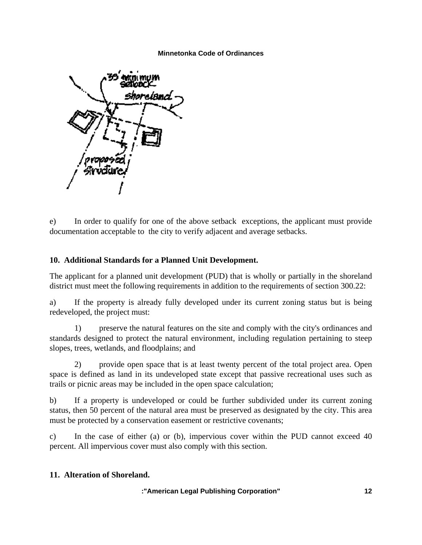

e) In order to qualify for one of the above setback exceptions, the applicant must provide documentation acceptable to the city to verify adjacent and average setbacks.

## **10. Additional Standards for a Planned Unit Development.**

The applicant for a planned unit development (PUD) that is wholly or partially in the shoreland district must meet the following requirements in addition to the requirements of section 300.22:

a) If the property is already fully developed under its current zoning status but is being redeveloped, the project must:

 1) preserve the natural features on the site and comply with the city's ordinances and standards designed to protect the natural environment, including regulation pertaining to steep slopes, trees, wetlands, and floodplains; and

 2) provide open space that is at least twenty percent of the total project area. Open space is defined as land in its undeveloped state except that passive recreational uses such as trails or picnic areas may be included in the open space calculation;

b) If a property is undeveloped or could be further subdivided under its current zoning status, then 50 percent of the natural area must be preserved as designated by the city. This area must be protected by a conservation easement or restrictive covenants;

c) In the case of either (a) or (b), impervious cover within the PUD cannot exceed 40 percent. All impervious cover must also comply with this section.

## **11. Alteration of Shoreland.**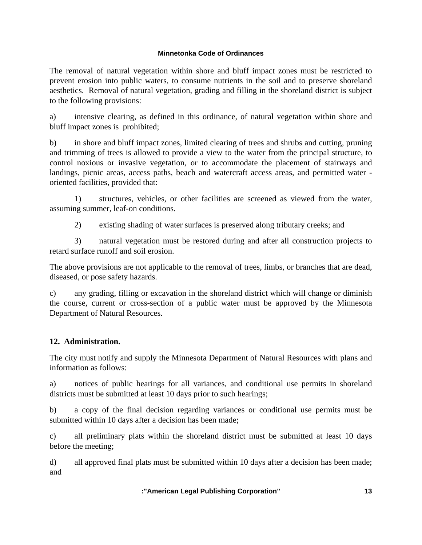The removal of natural vegetation within shore and bluff impact zones must be restricted to prevent erosion into public waters, to consume nutrients in the soil and to preserve shoreland aesthetics. Removal of natural vegetation, grading and filling in the shoreland district is subject to the following provisions:

a) intensive clearing, as defined in this ordinance, of natural vegetation within shore and bluff impact zones is prohibited;

b) in shore and bluff impact zones, limited clearing of trees and shrubs and cutting, pruning and trimming of trees is allowed to provide a view to the water from the principal structure, to control noxious or invasive vegetation, or to accommodate the placement of stairways and landings, picnic areas, access paths, beach and watercraft access areas, and permitted water oriented facilities, provided that:

 1) structures, vehicles, or other facilities are screened as viewed from the water, assuming summer, leaf-on conditions.

2) existing shading of water surfaces is preserved along tributary creeks; and

 3) natural vegetation must be restored during and after all construction projects to retard surface runoff and soil erosion.

The above provisions are not applicable to the removal of trees, limbs, or branches that are dead, diseased, or pose safety hazards.

c) any grading, filling or excavation in the shoreland district which will change or diminish the course, current or cross-section of a public water must be approved by the Minnesota Department of Natural Resources.

## **12. Administration.**

The city must notify and supply the Minnesota Department of Natural Resources with plans and information as follows:

a) notices of public hearings for all variances, and conditional use permits in shoreland districts must be submitted at least 10 days prior to such hearings;

b) a copy of the final decision regarding variances or conditional use permits must be submitted within 10 days after a decision has been made;

c) all preliminary plats within the shoreland district must be submitted at least 10 days before the meeting;

d) all approved final plats must be submitted within 10 days after a decision has been made; and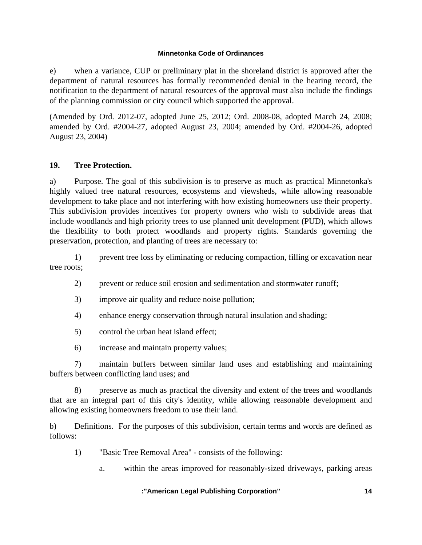e) when a variance, CUP or preliminary plat in the shoreland district is approved after the department of natural resources has formally recommended denial in the hearing record, the notification to the department of natural resources of the approval must also include the findings of the planning commission or city council which supported the approval.

(Amended by Ord. 2012-07, adopted June 25, 2012; Ord. 2008-08, adopted March 24, 2008; amended by Ord. #2004-27, adopted August 23, 2004; amended by Ord. #2004-26, adopted August 23, 2004)

## **19. Tree Protection.**

a) Purpose. The goal of this subdivision is to preserve as much as practical Minnetonka's highly valued tree natural resources, ecosystems and viewsheds, while allowing reasonable development to take place and not interfering with how existing homeowners use their property. This subdivision provides incentives for property owners who wish to subdivide areas that include woodlands and high priority trees to use planned unit development (PUD), which allows the flexibility to both protect woodlands and property rights. Standards governing the preservation, protection, and planting of trees are necessary to:

 1) prevent tree loss by eliminating or reducing compaction, filling or excavation near tree roots;

- 2) prevent or reduce soil erosion and sedimentation and stormwater runoff;
- 3) improve air quality and reduce noise pollution;
- 4) enhance energy conservation through natural insulation and shading;
- 5) control the urban heat island effect;
- 6) increase and maintain property values;

 7) maintain buffers between similar land uses and establishing and maintaining buffers between conflicting land uses; and

 8) preserve as much as practical the diversity and extent of the trees and woodlands that are an integral part of this city's identity, while allowing reasonable development and allowing existing homeowners freedom to use their land.

b) Definitions. For the purposes of this subdivision, certain terms and words are defined as follows:

- 1) "Basic Tree Removal Area" consists of the following:
	- a. within the areas improved for reasonably-sized driveways, parking areas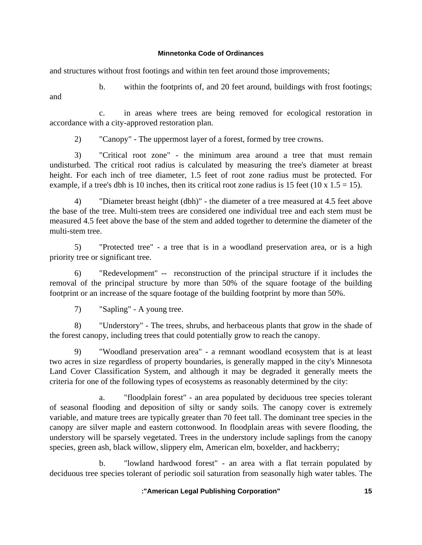and structures without frost footings and within ten feet around those improvements;

b. within the footprints of, and 20 feet around, buildings with frost footings;

 c. in areas where trees are being removed for ecological restoration in accordance with a city-approved restoration plan.

2) "Canopy" - The uppermost layer of a forest, formed by tree crowns.

 3) "Critical root zone" - the minimum area around a tree that must remain undisturbed. The critical root radius is calculated by measuring the tree's diameter at breast height. For each inch of tree diameter, 1.5 feet of root zone radius must be protected. For example, if a tree's dbh is 10 inches, then its critical root zone radius is 15 feet (10 x 1.5 = 15).

 4) "Diameter breast height (dbh)" - the diameter of a tree measured at 4.5 feet above the base of the tree. Multi-stem trees are considered one individual tree and each stem must be measured 4.5 feet above the base of the stem and added together to determine the diameter of the multi-stem tree.

 5) "Protected tree" - a tree that is in a woodland preservation area, or is a high priority tree or significant tree.

 6) "Redevelopment" -- reconstruction of the principal structure if it includes the removal of the principal structure by more than 50% of the square footage of the building footprint or an increase of the square footage of the building footprint by more than 50%.

7) "Sapling" - A young tree.

and

 8) "Understory" - The trees, shrubs, and herbaceous plants that grow in the shade of the forest canopy, including trees that could potentially grow to reach the canopy.

 9) "Woodland preservation area" - a remnant woodland ecosystem that is at least two acres in size regardless of property boundaries, is generally mapped in the city's Minnesota Land Cover Classification System, and although it may be degraded it generally meets the criteria for one of the following types of ecosystems as reasonably determined by the city:

 a. "floodplain forest" - an area populated by deciduous tree species tolerant of seasonal flooding and deposition of silty or sandy soils. The canopy cover is extremely variable, and mature trees are typically greater than 70 feet tall. The dominant tree species in the canopy are silver maple and eastern cottonwood. In floodplain areas with severe flooding, the understory will be sparsely vegetated. Trees in the understory include saplings from the canopy species, green ash, black willow, slippery elm, American elm, boxelder, and hackberry;

 b. "lowland hardwood forest" - an area with a flat terrain populated by deciduous tree species tolerant of periodic soil saturation from seasonally high water tables. The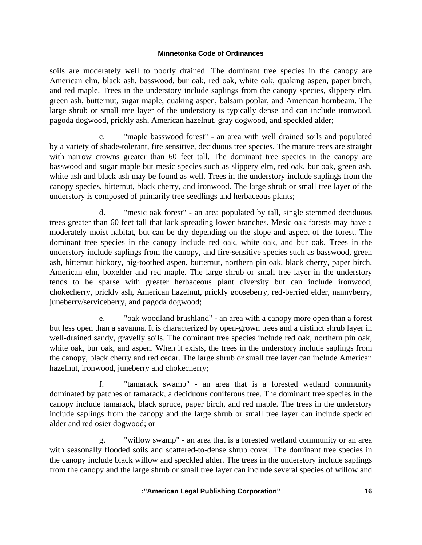soils are moderately well to poorly drained. The dominant tree species in the canopy are American elm, black ash, basswood, bur oak, red oak, white oak, quaking aspen, paper birch, and red maple. Trees in the understory include saplings from the canopy species, slippery elm, green ash, butternut, sugar maple, quaking aspen, balsam poplar, and American hornbeam. The large shrub or small tree layer of the understory is typically dense and can include ironwood, pagoda dogwood, prickly ash, American hazelnut, gray dogwood, and speckled alder;

 c. "maple basswood forest" - an area with well drained soils and populated by a variety of shade-tolerant, fire sensitive, deciduous tree species. The mature trees are straight with narrow crowns greater than 60 feet tall. The dominant tree species in the canopy are basswood and sugar maple but mesic species such as slippery elm, red oak, bur oak, green ash, white ash and black ash may be found as well. Trees in the understory include saplings from the canopy species, bitternut, black cherry, and ironwood. The large shrub or small tree layer of the understory is composed of primarily tree seedlings and herbaceous plants;

 d. "mesic oak forest" - an area populated by tall, single stemmed deciduous trees greater than 60 feet tall that lack spreading lower branches. Mesic oak forests may have a moderately moist habitat, but can be dry depending on the slope and aspect of the forest. The dominant tree species in the canopy include red oak, white oak, and bur oak. Trees in the understory include saplings from the canopy, and fire-sensitive species such as basswood, green ash, bitternut hickory, big-toothed aspen, butternut, northern pin oak, black cherry, paper birch, American elm, boxelder and red maple. The large shrub or small tree layer in the understory tends to be sparse with greater herbaceous plant diversity but can include ironwood, chokecherry, prickly ash, American hazelnut, prickly gooseberry, red-berried elder, nannyberry, juneberry/serviceberry, and pagoda dogwood;

 e. "oak woodland brushland" - an area with a canopy more open than a forest but less open than a savanna. It is characterized by open-grown trees and a distinct shrub layer in well-drained sandy, gravelly soils. The dominant tree species include red oak, northern pin oak, white oak, bur oak, and aspen. When it exists, the trees in the understory include saplings from the canopy, black cherry and red cedar. The large shrub or small tree layer can include American hazelnut, ironwood, juneberry and chokecherry;

 f. "tamarack swamp" - an area that is a forested wetland community dominated by patches of tamarack, a deciduous coniferous tree. The dominant tree species in the canopy include tamarack, black spruce, paper birch, and red maple. The trees in the understory include saplings from the canopy and the large shrub or small tree layer can include speckled alder and red osier dogwood; or

 g. "willow swamp" - an area that is a forested wetland community or an area with seasonally flooded soils and scattered-to-dense shrub cover. The dominant tree species in the canopy include black willow and speckled alder. The trees in the understory include saplings from the canopy and the large shrub or small tree layer can include several species of willow and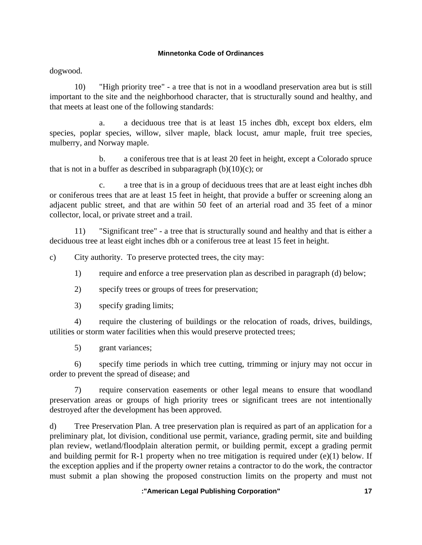dogwood.

 10) "High priority tree" - a tree that is not in a woodland preservation area but is still important to the site and the neighborhood character, that is structurally sound and healthy, and that meets at least one of the following standards:

 a. a deciduous tree that is at least 15 inches dbh, except box elders, elm species, poplar species, willow, silver maple, black locust, amur maple, fruit tree species, mulberry, and Norway maple.

 b. a coniferous tree that is at least 20 feet in height, except a Colorado spruce that is not in a buffer as described in subparagraph  $(b)(10)(c)$ ; or

a tree that is in a group of deciduous trees that are at least eight inches dbh or coniferous trees that are at least 15 feet in height, that provide a buffer or screening along an adjacent public street, and that are within 50 feet of an arterial road and 35 feet of a minor collector, local, or private street and a trail.

 11) "Significant tree" - a tree that is structurally sound and healthy and that is either a deciduous tree at least eight inches dbh or a coniferous tree at least 15 feet in height.

c) City authority. To preserve protected trees, the city may:

- 1) require and enforce a tree preservation plan as described in paragraph (d) below;
- 2) specify trees or groups of trees for preservation;
- 3) specify grading limits;

 4) require the clustering of buildings or the relocation of roads, drives, buildings, utilities or storm water facilities when this would preserve protected trees;

5) grant variances;

 6) specify time periods in which tree cutting, trimming or injury may not occur in order to prevent the spread of disease; and

 7) require conservation easements or other legal means to ensure that woodland preservation areas or groups of high priority trees or significant trees are not intentionally destroyed after the development has been approved.

d) Tree Preservation Plan. A tree preservation plan is required as part of an application for a preliminary plat, lot division, conditional use permit, variance, grading permit, site and building plan review, wetland/floodplain alteration permit, or building permit, except a grading permit and building permit for R-1 property when no tree mitigation is required under (e)(1) below. If the exception applies and if the property owner retains a contractor to do the work, the contractor must submit a plan showing the proposed construction limits on the property and must not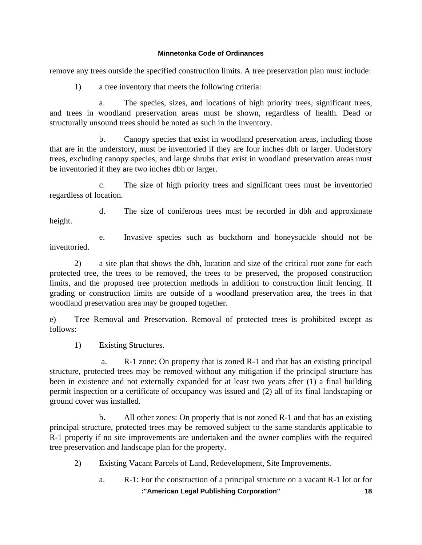remove any trees outside the specified construction limits. A tree preservation plan must include:

1) a tree inventory that meets the following criteria:

 a. The species, sizes, and locations of high priority trees, significant trees, and trees in woodland preservation areas must be shown, regardless of health. Dead or structurally unsound trees should be noted as such in the inventory.

 b. Canopy species that exist in woodland preservation areas, including those that are in the understory, must be inventoried if they are four inches dbh or larger. Understory trees, excluding canopy species, and large shrubs that exist in woodland preservation areas must be inventoried if they are two inches dbh or larger.

 c. The size of high priority trees and significant trees must be inventoried regardless of location.

 d. The size of coniferous trees must be recorded in dbh and approximate height.

 e. Invasive species such as buckthorn and honeysuckle should not be inventoried.

 2) a site plan that shows the dbh, location and size of the critical root zone for each protected tree, the trees to be removed, the trees to be preserved, the proposed construction limits, and the proposed tree protection methods in addition to construction limit fencing. If grading or construction limits are outside of a woodland preservation area, the trees in that woodland preservation area may be grouped together.

e) Tree Removal and Preservation. Removal of protected trees is prohibited except as follows:

1) Existing Structures.

 a. R-1 zone: On property that is zoned R-1 and that has an existing principal structure, protected trees may be removed without any mitigation if the principal structure has been in existence and not externally expanded for at least two years after (1) a final building permit inspection or a certificate of occupancy was issued and (2) all of its final landscaping or ground cover was installed.

 b. All other zones: On property that is not zoned R-1 and that has an existing principal structure, protected trees may be removed subject to the same standards applicable to R-1 property if no site improvements are undertaken and the owner complies with the required tree preservation and landscape plan for the property.

- 2) Existing Vacant Parcels of Land, Redevelopment, Site Improvements.
	- **:"American Legal Publishing Corporation" 18** a. R-1: For the construction of a principal structure on a vacant R-1 lot or for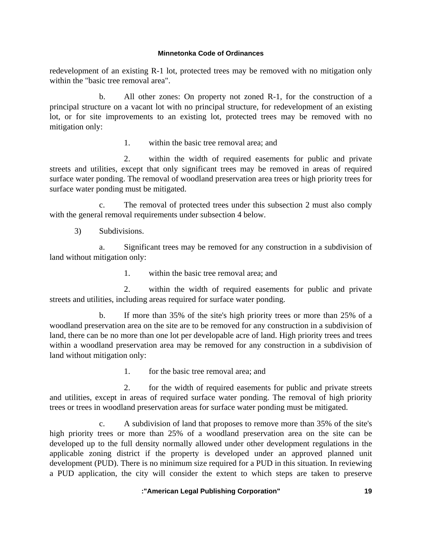redevelopment of an existing R-1 lot, protected trees may be removed with no mitigation only within the "basic tree removal area".

 b. All other zones: On property not zoned R-1, for the construction of a principal structure on a vacant lot with no principal structure, for redevelopment of an existing lot, or for site improvements to an existing lot, protected trees may be removed with no mitigation only:

1. within the basic tree removal area; and

 2. within the width of required easements for public and private streets and utilities, except that only significant trees may be removed in areas of required surface water ponding. The removal of woodland preservation area trees or high priority trees for surface water ponding must be mitigated.

 c. The removal of protected trees under this subsection 2 must also comply with the general removal requirements under subsection 4 below.

3) Subdivisions.

 a. Significant trees may be removed for any construction in a subdivision of land without mitigation only:

1. within the basic tree removal area; and

 2. within the width of required easements for public and private streets and utilities, including areas required for surface water ponding.

 b. If more than 35% of the site's high priority trees or more than 25% of a woodland preservation area on the site are to be removed for any construction in a subdivision of land, there can be no more than one lot per developable acre of land. High priority trees and trees within a woodland preservation area may be removed for any construction in a subdivision of land without mitigation only:

1. for the basic tree removal area; and

 2. for the width of required easements for public and private streets and utilities, except in areas of required surface water ponding. The removal of high priority trees or trees in woodland preservation areas for surface water ponding must be mitigated.

 c. A subdivision of land that proposes to remove more than 35% of the site's high priority trees or more than 25% of a woodland preservation area on the site can be developed up to the full density normally allowed under other development regulations in the applicable zoning district if the property is developed under an approved planned unit development (PUD). There is no minimum size required for a PUD in this situation. In reviewing a PUD application, the city will consider the extent to which steps are taken to preserve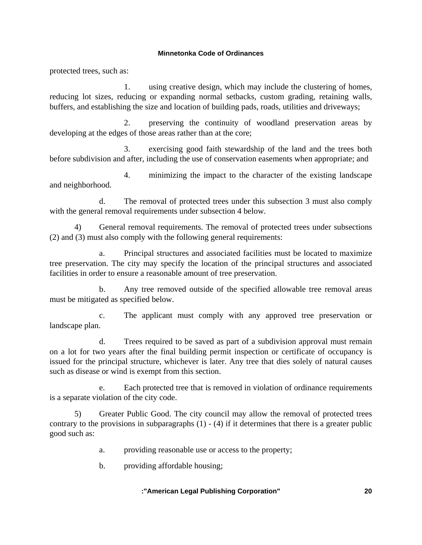protected trees, such as:

 1. using creative design, which may include the clustering of homes, reducing lot sizes, reducing or expanding normal setbacks, custom grading, retaining walls, buffers, and establishing the size and location of building pads, roads, utilities and driveways;

 2. preserving the continuity of woodland preservation areas by developing at the edges of those areas rather than at the core;

 3. exercising good faith stewardship of the land and the trees both before subdivision and after, including the use of conservation easements when appropriate; and

 4. minimizing the impact to the character of the existing landscape and neighborhood.

 d. The removal of protected trees under this subsection 3 must also comply with the general removal requirements under subsection 4 below.

 4) General removal requirements. The removal of protected trees under subsections (2) and (3) must also comply with the following general requirements:

 a. Principal structures and associated facilities must be located to maximize tree preservation. The city may specify the location of the principal structures and associated facilities in order to ensure a reasonable amount of tree preservation.

 b. Any tree removed outside of the specified allowable tree removal areas must be mitigated as specified below.

 c. The applicant must comply with any approved tree preservation or landscape plan.

 d. Trees required to be saved as part of a subdivision approval must remain on a lot for two years after the final building permit inspection or certificate of occupancy is issued for the principal structure, whichever is later. Any tree that dies solely of natural causes such as disease or wind is exempt from this section.

 e. Each protected tree that is removed in violation of ordinance requirements is a separate violation of the city code.

 5) Greater Public Good. The city council may allow the removal of protected trees contrary to the provisions in subparagraphs  $(1) - (4)$  if it determines that there is a greater public good such as:

a. providing reasonable use or access to the property;

b. providing affordable housing;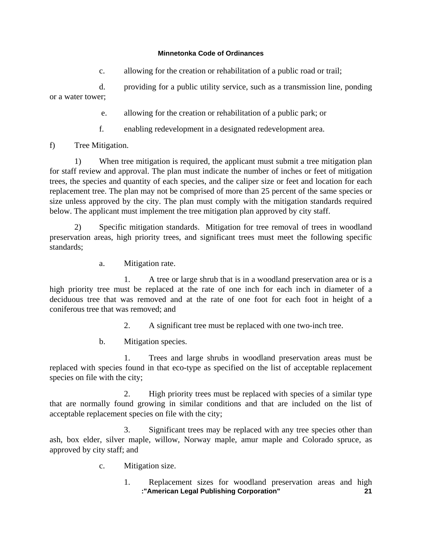c. allowing for the creation or rehabilitation of a public road or trail;

 d. providing for a public utility service, such as a transmission line, ponding or a water tower;

- e. allowing for the creation or rehabilitation of a public park; or
- f. enabling redevelopment in a designated redevelopment area.

f) Tree Mitigation.

 1) When tree mitigation is required, the applicant must submit a tree mitigation plan for staff review and approval. The plan must indicate the number of inches or feet of mitigation trees, the species and quantity of each species, and the caliper size or feet and location for each replacement tree. The plan may not be comprised of more than 25 percent of the same species or size unless approved by the city. The plan must comply with the mitigation standards required below. The applicant must implement the tree mitigation plan approved by city staff.

 2) Specific mitigation standards. Mitigation for tree removal of trees in woodland preservation areas, high priority trees, and significant trees must meet the following specific standards;

a. Mitigation rate.

 1. A tree or large shrub that is in a woodland preservation area or is a high priority tree must be replaced at the rate of one inch for each inch in diameter of a deciduous tree that was removed and at the rate of one foot for each foot in height of a coniferous tree that was removed; and

2. A significant tree must be replaced with one two-inch tree.

b. Mitigation species.

 1. Trees and large shrubs in woodland preservation areas must be replaced with species found in that eco-type as specified on the list of acceptable replacement species on file with the city;

 2. High priority trees must be replaced with species of a similar type that are normally found growing in similar conditions and that are included on the list of acceptable replacement species on file with the city;

 3. Significant trees may be replaced with any tree species other than ash, box elder, silver maple, willow, Norway maple, amur maple and Colorado spruce, as approved by city staff; and

- c. Mitigation size.
	- **:"American Legal Publishing Corporation" 21** 1. Replacement sizes for woodland preservation areas and high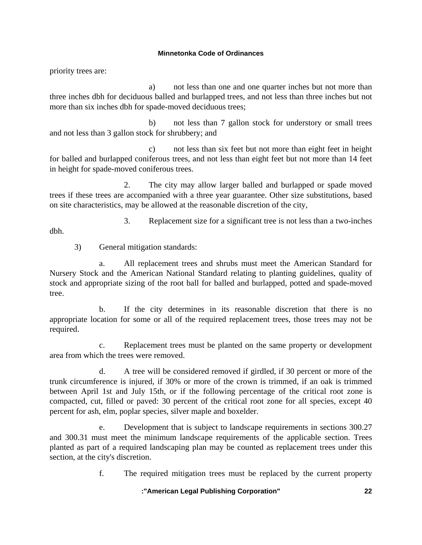priority trees are:

 a) not less than one and one quarter inches but not more than three inches dbh for deciduous balled and burlapped trees, and not less than three inches but not more than six inches dbh for spade-moved deciduous trees;

 b) not less than 7 gallon stock for understory or small trees and not less than 3 gallon stock for shrubbery; and

 c) not less than six feet but not more than eight feet in height for balled and burlapped coniferous trees, and not less than eight feet but not more than 14 feet in height for spade-moved coniferous trees.

 2. The city may allow larger balled and burlapped or spade moved trees if these trees are accompanied with a three year guarantee. Other size substitutions, based on site characteristics, may be allowed at the reasonable discretion of the city,

3. Replacement size for a significant tree is not less than a two-inches

dbh.

3) General mitigation standards:

 a. All replacement trees and shrubs must meet the American Standard for Nursery Stock and the American National Standard relating to planting guidelines, quality of stock and appropriate sizing of the root ball for balled and burlapped, potted and spade-moved tree.

 b. If the city determines in its reasonable discretion that there is no appropriate location for some or all of the required replacement trees, those trees may not be required.

 c. Replacement trees must be planted on the same property or development area from which the trees were removed.

 d. A tree will be considered removed if girdled, if 30 percent or more of the trunk circumference is injured, if 30% or more of the crown is trimmed, if an oak is trimmed between April 1st and July 15th, or if the following percentage of the critical root zone is compacted, cut, filled or paved: 30 percent of the critical root zone for all species, except 40 percent for ash, elm, poplar species, silver maple and boxelder.

 e. Development that is subject to landscape requirements in sections 300.27 and 300.31 must meet the minimum landscape requirements of the applicable section. Trees planted as part of a required landscaping plan may be counted as replacement trees under this section, at the city's discretion.

f. The required mitigation trees must be replaced by the current property